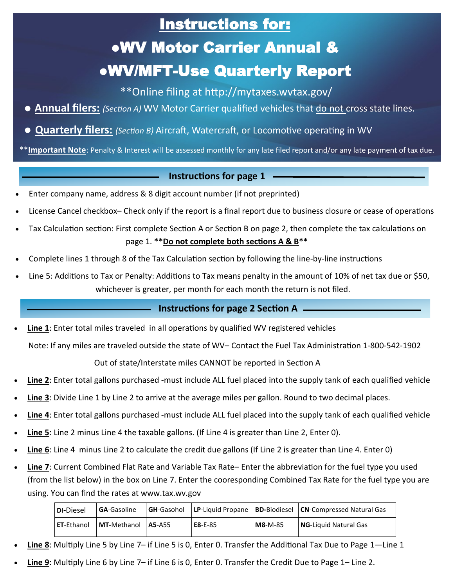## Instructions for:

# ●WV Motor Carrier Annual & ●WV/MFT-Use Quarterly Report

\*\*Online filing at http://mytaxes.wvtax.gov/

- **Annual filers:** *(Section A)* WV Motor Carrier qualified vehicles that do not cross state lines.
- **Quarterly filers:** *(Section B)* Aircraft, Watercraft, or Locomotive operating in WV

\*\***Important Note**: Penalty & Interest will be assessed monthly for any late filed report and/or any late payment of tax due.

#### **Instructions for page 1**

- Enter company name, address & 8 digit account number (if not preprinted)
- License Cancel checkbox– Check only if the report is a final report due to business closure or cease of operations
- Tax Calculation section: First complete Section A or Section B on page 2, then complete the tax calculations on page 1. **\*\*Do not complete both sections A & B\*\***
- Complete lines 1 through 8 of the Tax Calculation section by following the line-by-line instructions
- Line 5: Additions to Tax or Penalty: Additions to Tax means penalty in the amount of 10% of net tax due or \$50, whichever is greater, per month for each month the return is not filed.

### **Instructions for page 2 Section A**

• **Line 1**: Enter total miles traveled in all operations by qualified WV registered vehicles

Note: If any miles are traveled outside the state of WV– Contact the Fuel Tax Administration 1-800-542-1902

Out of state/Interstate miles CANNOT be reported in Section A

- Line 2: Enter total gallons purchased -must include ALL fuel placed into the supply tank of each qualified vehicle
- **Line 3**: Divide Line 1 by Line 2 to arrive at the average miles per gallon. Round to two decimal places.
- **Line 4**: Enter total gallons purchased -must include ALL fuel placed into the supply tank of each qualified vehicle
- **Line 5**: Line 2 minus Line 4 the taxable gallons. (If Line 4 is greater than Line 2, Enter 0).
- **Line 6**: Line 4 minus Line 2 to calculate the credit due gallons (If Line 2 is greater than Line 4. Enter 0)
- **Line 7**: Current Combined Flat Rate and Variable Tax Rate– Enter the abbreviation for the fuel type you used (from the list below) in the box on Line 7. Enter the cooresponding Combined Tax Rate for the fuel type you are using. You can find the rates at www.tax.wv.gov

| <b>DI-Diesel</b>     | <b>GA-Gasoline</b>        | <b>GH-</b> Gasohol |               |           | <b>LP-Liquid Propane   BD-Biodiesel   CN-Compressed Natural Gas</b> |
|----------------------|---------------------------|--------------------|---------------|-----------|---------------------------------------------------------------------|
| l <b>ET</b> -Ethanol | <b>MT-Methanol A5-A55</b> |                    | $E8 - E - 85$ | $M8-M-85$ | <b>NG</b> -Liauid Natural Gas                                       |

- **Line 8**: Multiply Line 5 by Line 7– if Line 5 is 0, Enter 0. Transfer the Additional Tax Due to Page 1—Line 1
- **Line 9**: Multiply Line 6 by Line 7– if Line 6 is 0, Enter 0. Transfer the Credit Due to Page 1– Line 2.